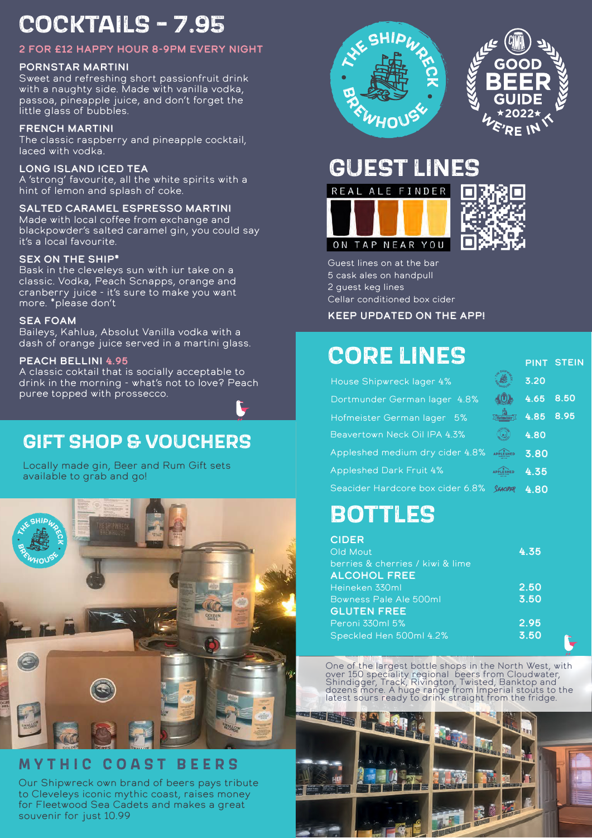## **COCKTAILS - 7.95**

#### 2 for £12 happy hour 8-9pm every night

#### pornstar martini

Sweet and refreshing short passionfruit drink with a naughty side. Made with vanilla vodka, passoa, pineapple juice, and don't forget the little glass of bubbles.

#### french martini

The classic raspberry and pineapple cocktail, laced with vodka.

#### Long island iced tea

A 'strong' favourite, all the white spirits with a hint of lemon and splash of coke.

#### salted caramel espresso martini

Made with local coffee from exchange and blackpowder's salted caramel gin, you could say it's a local favourite.

#### sex on the ship\*

Bask in the cleveleys sun with iur take on a classic. Vodka, Peach Scnapps, orange and cranberry juice - it's sure to make you want more. \*please don't

#### sea foam

Baileys, Kahlua, Absolut Vanilla vodka with a dash of orange juice served in a martini glass.

#### PEACH BELLINI 4.95

A classic coktail that is socially acceptable to drink in the morning - what's not to love? Peach puree topped with prossecco.

## **GIFT SHOP & VOUCHERS**

Locally made gin, Beer and Rum Gift sets available to grab and go!



### **M Y THIC C O A S T BEERS**

Our Shipwreck own brand of beers pays tribute to Cleveleys iconic mythic coast, raises money for Fleetwood Sea Cadets and makes a great souvenir for just 10.99



# $\hat{\epsilon}_{\mathsf{R}}$ E IN

## **GUEST LINES**





pint stein

Guest lines on at the bar 5 cask ales on handpull 2 guest keg lines Cellar conditioned box cider

#### Keep updated on the app!

## **CORE LINES**

| House Shipwreck lager 4%         | 3.20         |
|----------------------------------|--------------|
| Dortmunder German lager 4.8%     | 8.50<br>4.65 |
| Hofmeister German lager 5%       | 8.95<br>4.85 |
| Beavertown Neck Oil IPA 4.3%     | 4.80         |
| Appleshed medium dry cider 4.8%  | 3.80         |
| <b>Appleshed Dark Fruit 4%</b>   | 4.35         |
| Seacider Hardcore box cider 6.8% | 4.80         |

## **BOTTLES**

| <b>CIDER</b><br>Old Mout         | 4.35 |  |
|----------------------------------|------|--|
| berries & cherries / kiwi & lime |      |  |
| <b>ALCOHOL FREE</b>              |      |  |
| Heineken 330ml                   | 2.50 |  |
| Bowness Pale Ale 500ml           | 3.50 |  |
| <b>GLUTEN FREE</b>               |      |  |
| Peroni 330ml 5%                  | 2.95 |  |
| Speckled Hen 500ml 4.2%          | 3.50 |  |

One of the largest bottle shops in the North West, with over 150 speciality regional beers from Cloudwater,<br>Shindigger, Track, Rivington, Twisted, Banktop and<br>dozens more. A huge range from Imperial stouts to the<br>latest sours ready to drink straight from the fridge.